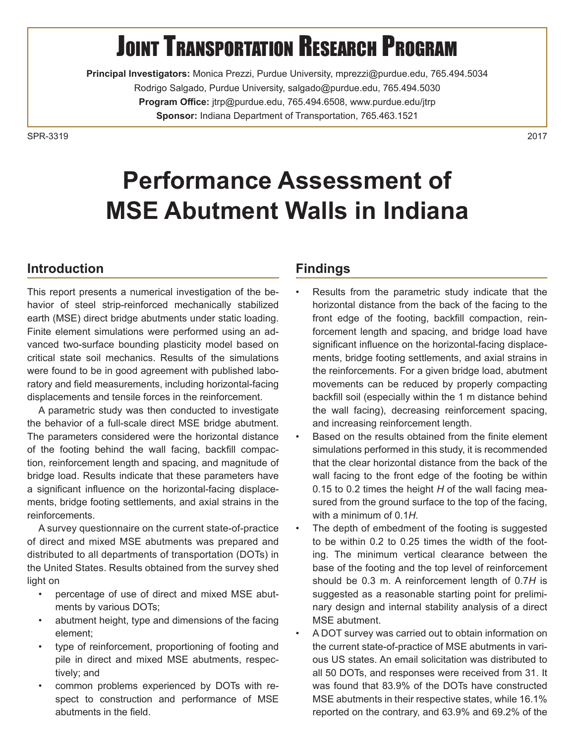# **JOINT TRANSPORTATION RESEARCH PROGRAM**

**Principal Investigators:** Monica Prezzi, Purdue University, mprezzi@purdue.edu, 765.494.5034 Rodrigo Salgado, Purdue University, salgado@purdue.edu, 765.494.5030 **Program Office:** jtrp@purdue.edu, 765.494.6508, www.purdue.edu/jtrp **Sponsor:** Indiana Department of Transportation, 765.463.1521

SPR-33192017

# **Performance Assessment of MSE Abutment Walls in Indiana**

### **Introduction**

This report presents a numerical investigation of the behavior of steel strip-reinforced mechanically stabilized earth (MSE) direct bridge abutments under static loading. Finite element simulations were performed using an advanced two-surface bounding plasticity model based on critical state soil mechanics. Results of the simulations were found to be in good agreement with published laboratory and field measurements, including horizontal-facing displacements and tensile forces in the reinforcement.

A parametric study was then conducted to investigate the behavior of a full-scale direct MSE bridge abutment. The parameters considered were the horizontal distance of the footing behind the wall facing, backfill compaction, reinforcement length and spacing, and magnitude of bridge load. Results indicate that these parameters have a significant influence on the horizontal-facing displacements, bridge footing settlements, and axial strains in the reinforcements.

A survey questionnaire on the current state-of-practice of direct and mixed MSE abutments was prepared and distributed to all departments of transportation (DOTs) in the United States. Results obtained from the survey shed light on

- percentage of use of direct and mixed MSE abutments by various DOTs;
- abutment height, type and dimensions of the facing element;
- type of reinforcement, proportioning of footing and pile in direct and mixed MSE abutments, respectively; and
- common problems experienced by DOTs with respect to construction and performance of MSE abutments in the field.

#### **Findings**

- Results from the parametric study indicate that the horizontal distance from the back of the facing to the front edge of the footing, backfill compaction, reinforcement length and spacing, and bridge load have significant influence on the horizontal-facing displacements, bridge footing settlements, and axial strains in the reinforcements. For a given bridge load, abutment movements can be reduced by properly compacting backfill soil (especially within the 1 m distance behind the wall facing), decreasing reinforcement spacing, and increasing reinforcement length.
- Based on the results obtained from the finite element simulations performed in this study, it is recommended that the clear horizontal distance from the back of the wall facing to the front edge of the footing be within 0.15 to 0.2 times the height *H* of the wall facing measured from the ground surface to the top of the facing, with a minimum of 0.1*H*.
- The depth of embedment of the footing is suggested to be within 0.2 to 0.25 times the width of the footing. The minimum vertical clearance between the base of the footing and the top level of reinforcement should be 0.3 m. A reinforcement length of 0.7*H* is suggested as a reasonable starting point for preliminary design and internal stability analysis of a direct MSE abutment.
- A DOT survey was carried out to obtain information on the current state-of-practice of MSE abutments in various US states. An email solicitation was distributed to all 50 DOTs, and responses were received from 31. It was found that 83.9% of the DOTs have constructed MSE abutments in their respective states, while 16.1% reported on the contrary, and 63.9% and 69.2% of the